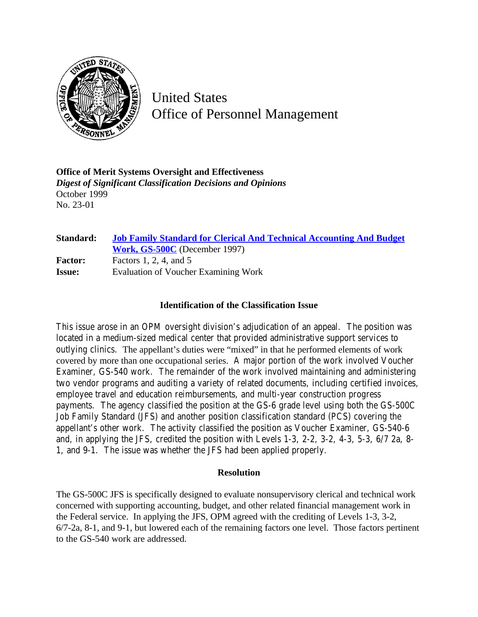

United States Office of Personnel Management

**Office of Merit Systems Oversight and Effectiveness** *Digest of Significant Classification Decisions and Opinions* October 1999 No. 23-01

| Standard:      | <b>Job Family Standard for Clerical And Technical Accounting And Budget</b><br>Work, GS-500C (December 1997) |
|----------------|--------------------------------------------------------------------------------------------------------------|
| <b>Factor:</b> | Factors 1, 2, 4, and 5                                                                                       |
| <b>Issue:</b>  | Evaluation of Voucher Examining Work                                                                         |

## **Identification of the Classification Issue**

This issue arose in an OPM oversight division's adjudication of an appeal. The position was located in a medium-sized medical center that provided administrative support services to outlying clinics. The appellant's duties were "mixed" in that he performed elements of work covered by more than one occupational series. A major portion of the work involved Voucher Examiner, GS-540 work. The remainder of the work involved maintaining and administering two vendor programs and auditing a variety of related documents, including certified invoices, employee travel and education reimbursements, and multi-year construction progress payments. The agency classified the position at the GS-6 grade level using both the GS-500C Job Family Standard (JFS) and another position classification standard (PCS) covering the appellant's other work. The activity classified the position as Voucher Examiner, GS-540-6 and, in applying the JFS, credited the position with Levels 1-3, 2-2, 3-2, 4-3, 5-3, 6/7 2a, 8- 1, and 9-1. The issue was whether the JFS had been applied properly.

## **Resolution**

The GS-500C JFS is specifically designed to evaluate nonsupervisory clerical and technical work concerned with supporting accounting, budget, and other related financial management work in the Federal service. In applying the JFS, OPM agreed with the crediting of Levels 1-3, 3-2, 6/7-2a, 8-1, and 9-1, but lowered each of the remaining factors one level. Those factors pertinent to the GS-540 work are addressed.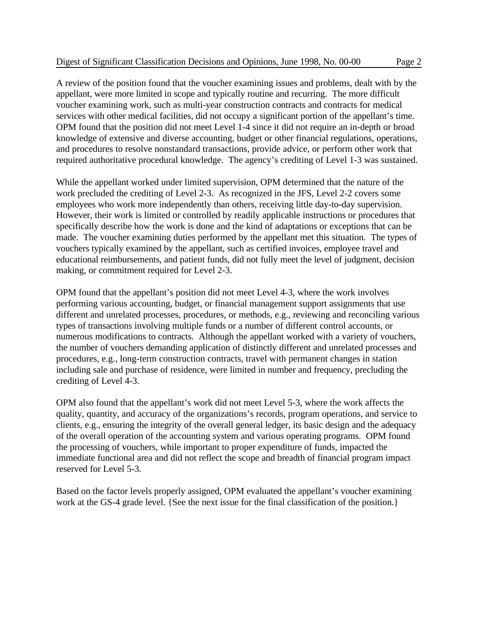A review of the position found that the voucher examining issues and problems, dealt with by the appellant, were more limited in scope and typically routine and recurring. The more difficult voucher examining work, such as multi-year construction contracts and contracts for medical services with other medical facilities, did not occupy a significant portion of the appellant's time. OPM found that the position did not meet Level 1-4 since it did not require an in-depth or broad knowledge of extensive and diverse accounting, budget or other financial regulations, operations, and procedures to resolve nonstandard transactions, provide advice, or perform other work that required authoritative procedural knowledge. The agency's crediting of Level 1-3 was sustained.

While the appellant worked under limited supervision, OPM determined that the nature of the work precluded the crediting of Level 2-3. As recognized in the JFS, Level 2-2 covers some employees who work more independently than others, receiving little day-to-day supervision. However, their work is limited or controlled by readily applicable instructions or procedures that specifically describe how the work is done and the kind of adaptations or exceptions that can be made. The voucher examining duties performed by the appellant met this situation. The types of vouchers typically examined by the appellant, such as certified invoices, employee travel and educational reimbursements, and patient funds, did not fully meet the level of judgment, decision making, or commitment required for Level 2-3.

OPM found that the appellant's position did not meet Level 4-3, where the work involves performing various accounting, budget, or financial management support assignments that use different and unrelated processes, procedures, or methods, e.g., reviewing and reconciling various types of transactions involving multiple funds or a number of different control accounts, or numerous modifications to contracts. Although the appellant worked with a variety of vouchers, the number of vouchers demanding application of distinctly different and unrelated processes and procedures, e.g., long-term construction contracts, travel with permanent changes in station including sale and purchase of residence, were limited in number and frequency, precluding the crediting of Level 4-3.

OPM also found that the appellant's work did not meet Level 5-3, where the work affects the quality, quantity, and accuracy of the organizations's records, program operations, and service to clients, e.g., ensuring the integrity of the overall general ledger, its basic design and the adequacy of the overall operation of the accounting system and various operating programs. OPM found the processing of vouchers, while important to proper expenditure of funds, impacted the immediate functional area and did not reflect the scope and breadth of financial program impact reserved for Level 5-3.

Based on the factor levels properly assigned, OPM evaluated the appellant's voucher examining work at the GS-4 grade level. {See the next issue for the final classification of the position.}